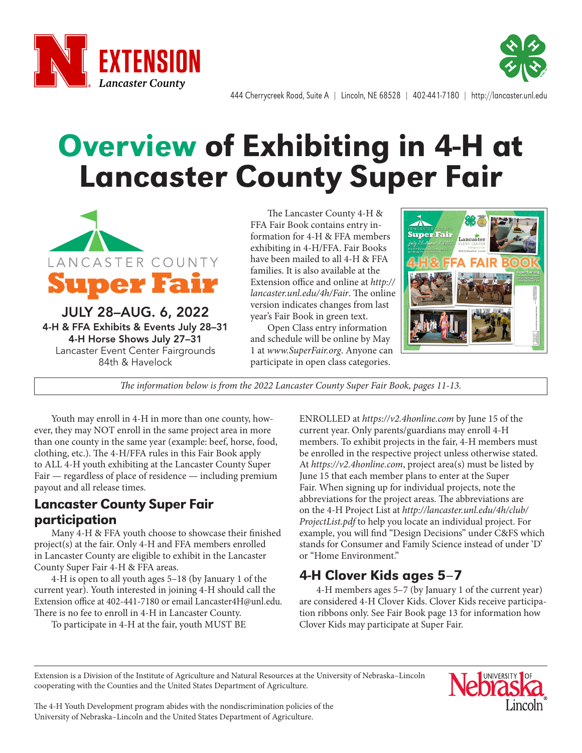



444 Cherrycreek Road, Suite A | Lincoln, NE 68528 | 402-441-7180 | http://lancaster.unl.edu

# Overview of Exhibiting in 4-H at Lancaster County Super Fair



JULY 28–AUG. 6, 2022 4-H & FFA Exhibits & Events July 28–31 4-H Horse Shows July 27–31 Lancaster Event Center Fairgrounds 84th & Havelock

The Lancaster County 4-H & FFA Fair Book contains entry information for 4-H & FFA members exhibiting in 4-H/FFA. Fair Books have been mailed to all 4-H & FFA families. It is also available at the Extension office and online at *http:// lancaster.unl.edu/4h/Fair*. The online version indicates changes from last year's Fair Book in green text.

Open Class entry information and schedule will be online by May 1 at *www.SuperFair.org*. Anyone can participate in open class categories.



*The information below is from the 2022 Lancaster County Super Fair Book, pages 11-13.*

Youth may enroll in 4-H in more than one county, however, they may NOT enroll in the same project area in more than one county in the same year (example: beef, horse, food, clothing, etc.). The 4-H/FFA rules in this Fair Book apply to ALL 4-H youth exhibiting at the Lancaster County Super Fair — regardless of place of residence — including premium payout and all release times.

#### Lancaster County Super Fair participation

Many 4-H & FFA youth choose to showcase their finished project(s) at the fair. Only 4-H and FFA members enrolled in Lancaster County are eligible to exhibit in the Lancaster County Super Fair 4-H & FFA areas.

4-H is open to all youth ages 5–18 (by January 1 of the current year). Youth interested in joining 4-H should call the Extension office at 402-441-7180 or email Lancaster4H@unl.edu. There is no fee to enroll in 4-H in Lancaster County.

To participate in 4-H at the fair, youth MUST BE

ENROLLED at *https://v2.4honline.com* by June 15 of the current year. Only parents/guardians may enroll 4-H members. To exhibit projects in the fair, 4-H members must be enrolled in the respective project unless otherwise stated. At *https://v2.4honline.com*, project area(s) must be listed by June 15 that each member plans to enter at the Super Fair. When signing up for individual projects, note the abbreviations for the project areas. The abbreviations are on the 4-H Project List at *http://lancaster.unl.edu/4h/club/ ProjectList.pdf* to help you locate an individual project. For example, you will find "Design Decisions" under C&FS which stands for Consumer and Family Science instead of under 'D' or "Home Environment."

## 4-H Clover Kids ages 5–7

4-H members ages 5–7 (by January 1 of the current year) are considered 4-H Clover Kids. Clover Kids receive participation ribbons only. See Fair Book page 13 for information how Clover Kids may participate at Super Fair.

Extension is a Division of the Institute of Agriculture and Natural Resources at the University of Nebraska–Lincoln cooperating with the Counties and the United States Department of Agriculture.



The 4-H Youth Development program abides with the nondiscrimination policies of the University of Nebraska–Lincoln and the United States Department of Agriculture.